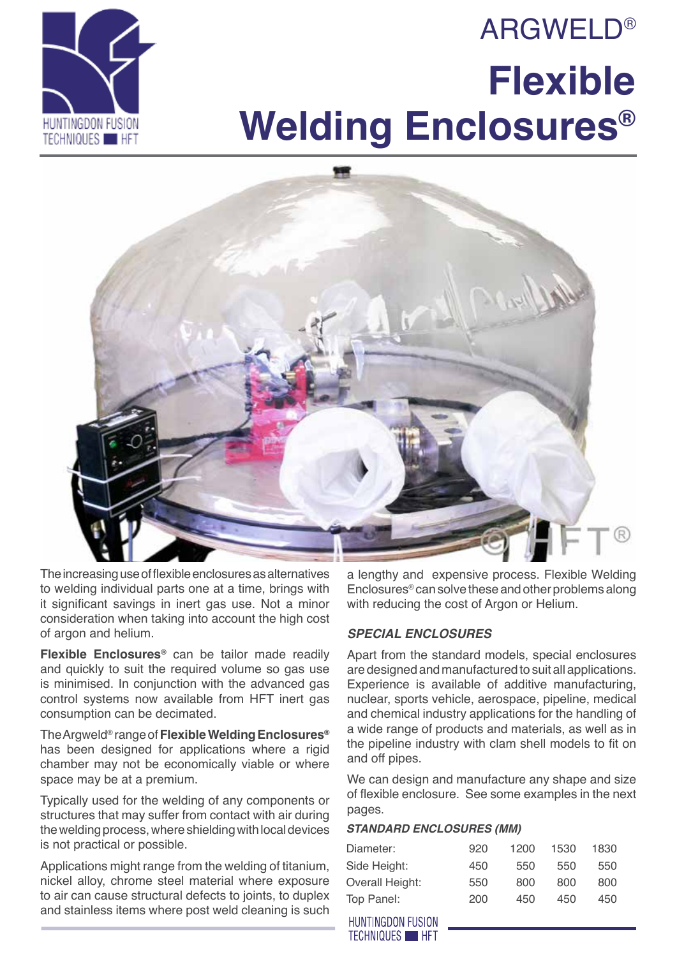# **ARGWELD® Flexible Welding Enclosures®**





The increasing use of flexible enclosures as alternatives to welding individual parts one at a time, brings with it significant savings in inert gas use. Not a minor consideration when taking into account the high cost of argon and helium.

**Flexible Enclosures®** can be tailor made readily and quickly to suit the required volume so gas use is minimised. In conjunction with the advanced gas control systems now available from HFT inert gas consumption can be decimated.

The Argweld® range of **Flexible Welding Enclosures®** has been designed for applications where a rigid chamber may not be economically viable or where space may be at a premium.

Typically used for the welding of any components or structures that may suffer from contact with air during the welding process, where shielding with local devices is not practical or possible.

Applications might range from the welding of titanium, nickel alloy, chrome steel material where exposure to air can cause structural defects to joints, to duplex and stainless items where post weld cleaning is such

a lengthy and expensive process. Flexible Welding Enclosures® can solve these and other problems along with reducing the cost of Argon or Helium.

## *Special Enclosures*

Apart from the standard models, special enclosures are designed and manufactured to suit all applications. Experience is available of additive manufacturing, nuclear, sports vehicle, aerospace, pipeline, medical and chemical industry applications for the handling of a wide range of products and materials, as well as in the pipeline industry with clam shell models to fit on and off pipes.

We can design and manufacture any shape and size of flexible enclosure. See some examples in the next pages.

### *Standard Enclosures (mm)*

| Diameter:       | 920 | 1200 | 1530 | 1830 |
|-----------------|-----|------|------|------|
| Side Height:    | 450 | 550  | 550  | 550  |
| Overall Height: | 550 | 800  | 800  | 800  |
| Top Panel:      | 200 | 450  | 450  | 450  |

**HUNTINGDON FUSION TECHNIQUES HET**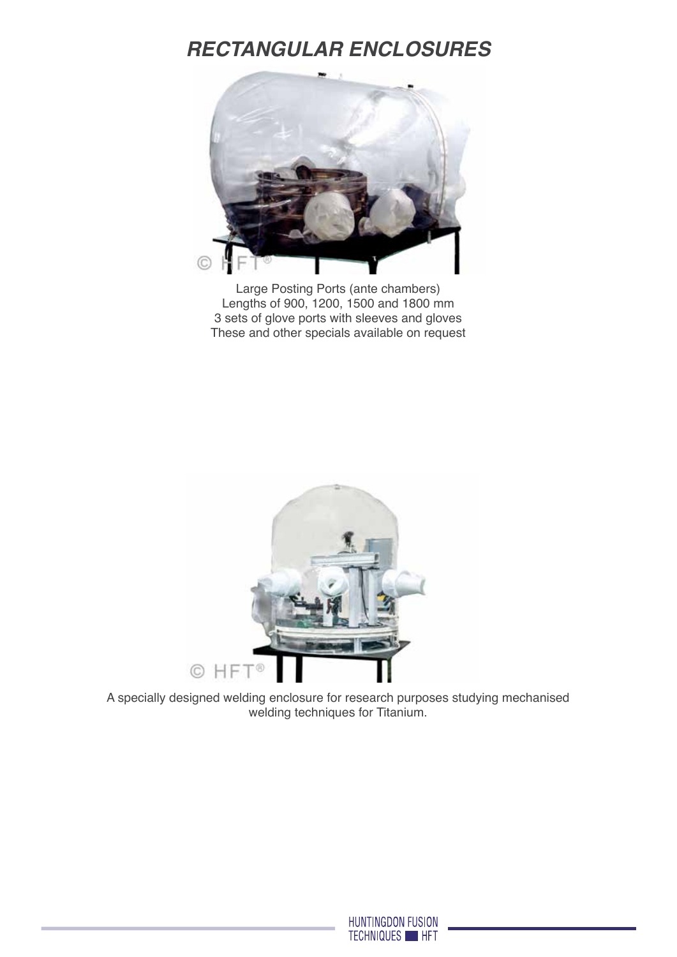# *Rectangular Enclosures*



Large Posting Ports (ante chambers) Lengths of 900, 1200, 1500 and 1800 mm 3 sets of glove ports with sleeves and gloves These and other specials available on request



A specially designed welding enclosure for research purposes studying mechanised welding techniques for Titanium.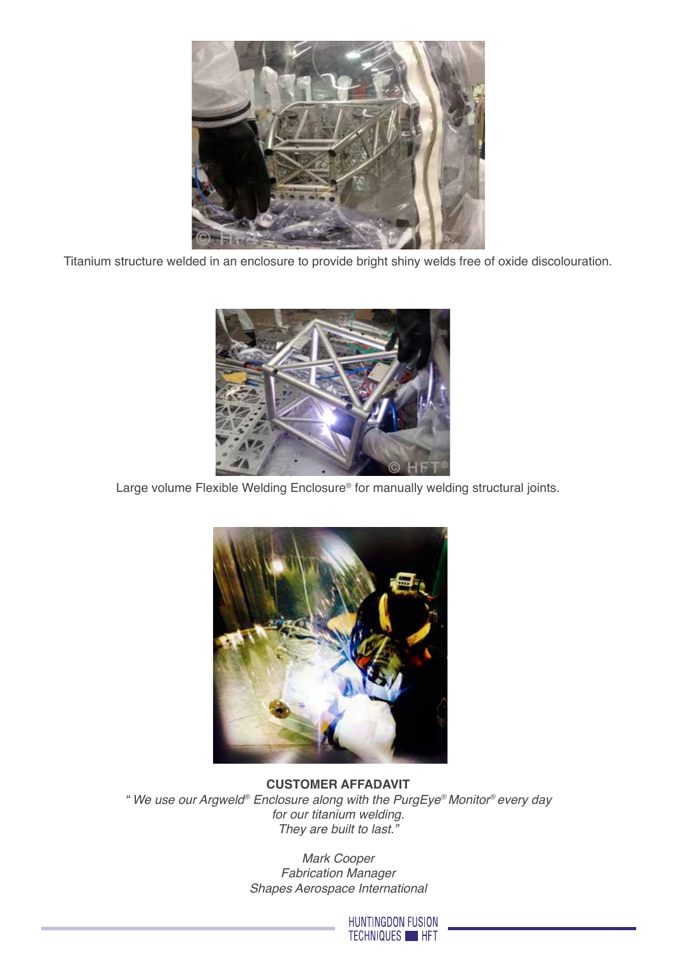

Titanium structure welded in an enclosure to provide bright shiny welds free of oxide discolouration.



Large volume Flexible Welding Enclosure® for manually welding structural joints.



**Customer affadavit** *" We use our Argweld® Enclosure along with the PurgEye® Monitor® every day for our titanium welding. They are built to last."* 

> *Mark Cooper Fabrication Manager Shapes Aerospace International*

> > HUNTINGDON FUSION TECHNIQUES HFT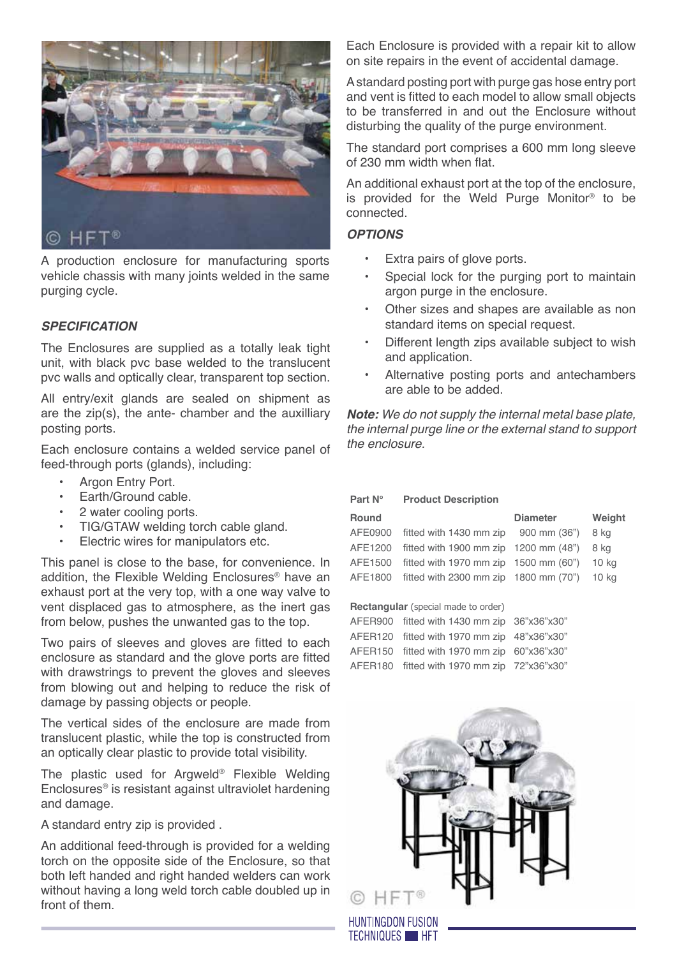

A production enclosure for manufacturing sports vehicle chassis with many joints welded in the same purging cycle.

### *Specification*

The Enclosures are supplied as a totally leak tight unit, with black pvc base welded to the translucent pvc walls and optically clear, transparent top section.

All entry/exit glands are sealed on shipment as are the zip(s), the ante- chamber and the auxilliary posting ports.

Each enclosure contains a welded service panel of feed-through ports (glands), including:

- Argon Entry Port.
- Earth/Ground cable.
- 2 water cooling ports.
- TIG/GTAW welding torch cable gland.<br>• Electric wires for manipulators etc.
- Electric wires for manipulators etc.

This panel is close to the base, for convenience. In addition, the Flexible Welding Enclosures® have an exhaust port at the very top, with a one way valve to vent displaced gas to atmosphere, as the inert gas from below, pushes the unwanted gas to the top.

Two pairs of sleeves and gloves are fitted to each enclosure as standard and the glove ports are fitted with drawstrings to prevent the gloves and sleeves from blowing out and helping to reduce the risk of damage by passing objects or people.

The vertical sides of the enclosure are made from translucent plastic, while the top is constructed from an optically clear plastic to provide total visibility.

The plastic used for Argweld® Flexible Welding Enclosures® is resistant against ultraviolet hardening and damage.

A standard entry zip is provided .

An additional feed-through is provided for a welding torch on the opposite side of the Enclosure, so that both left handed and right handed welders can work without having a long weld torch cable doubled up in front of them.

Each Enclosure is provided with a repair kit to allow on site repairs in the event of accidental damage.

A standard posting port with purge gas hose entry port and vent is fitted to each model to allow small objects to be transferred in and out the Enclosure without disturbing the quality of the purge environment.

The standard port comprises a 600 mm long sleeve of 230 mm width when flat.

An additional exhaust port at the top of the enclosure, is provided for the Weld Purge Monitor® to be connected.

#### *Options*

- Extra pairs of glove ports.
- Special lock for the purging port to maintain argon purge in the enclosure.
- Other sizes and shapes are available as non standard items on special request.
- Different length zips available subject to wish and application.
- Alternative posting ports and antechambers are able to be added.

*Note: We do not supply the internal metal base plate, the internal purge line or the external stand to support the enclosure.*

| Part N°                                    | <b>Product Description</b> |                 |                  |  |  |
|--------------------------------------------|----------------------------|-----------------|------------------|--|--|
| <b>Round</b>                               |                            | <b>Diameter</b> | Weight           |  |  |
| AFE0900                                    | fitted with 1430 mm zip    | 900 mm (36")    | 8 kg             |  |  |
| AFE1200                                    | fitted with 1900 mm zip    | 1200 mm (48")   | 8 kg             |  |  |
| AFE1500                                    | fitted with 1970 mm zip    | 1500 mm (60")   | 10 kg            |  |  |
| AFF1800                                    | fitted with 2300 mm zip    | 1800 mm (70")   | 10 <sub>kg</sub> |  |  |
|                                            |                            |                 |                  |  |  |
| <b>Rectangular</b> (special made to order) |                            |                 |                  |  |  |
| AFER900                                    | fitted with 1430 mm zip    | 36"x36"x30"     |                  |  |  |
| AFER <sub>120</sub>                        | fitted with 1970 mm zip    | 48"x36"x30"     |                  |  |  |
| AFER <sub>150</sub>                        | fitted with 1970 mm zip    | 60"x36"x30"     |                  |  |  |
| AFFR <sub>180</sub>                        | fitted with 1970 mm zip    | 72"x36"x30"     |                  |  |  |

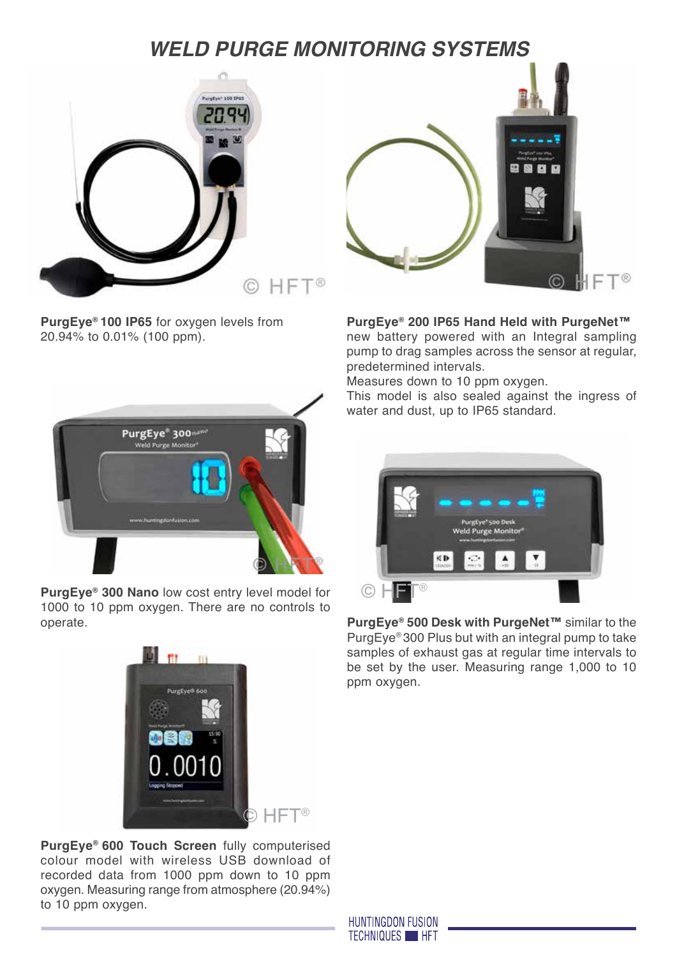# *Weld Purge Monitoring Systems*



**PurgEye® 100 IP65** for oxygen levels from 20.94% to 0.01% (100 ppm).



**PurgEye® 300 Nano** low cost entry level model for 1000 to 10 ppm oxygen. There are no controls to operate.

![](_page_4_Picture_5.jpeg)

**PurgEye® 600 Touch Screen** fully computerised colour model with wireless USB download of recorded data from 1000 ppm down to 10 ppm oxygen. Measuring range from atmosphere (20.94%) to 10 ppm oxygen.

![](_page_4_Picture_7.jpeg)

**PurgEye® 200 IP65 Hand Held with PurgeNet™** new battery powered with an Integral sampling pump to drag samples across the sensor at regular, predetermined intervals.

Measures down to 10 ppm oxygen.

This model is also sealed against the ingress of water and dust, up to IP65 standard.

![](_page_4_Picture_11.jpeg)

**PurgEye® 500 Desk with PurgeNet™** similar to the PurgEye® 300 Plus but with an integral pump to take samples of exhaust gas at regular time intervals to be set by the user. Measuring range 1,000 to 10 ppm oxygen.

**HUNTINGDON FUSION TECHNIQUES HFT**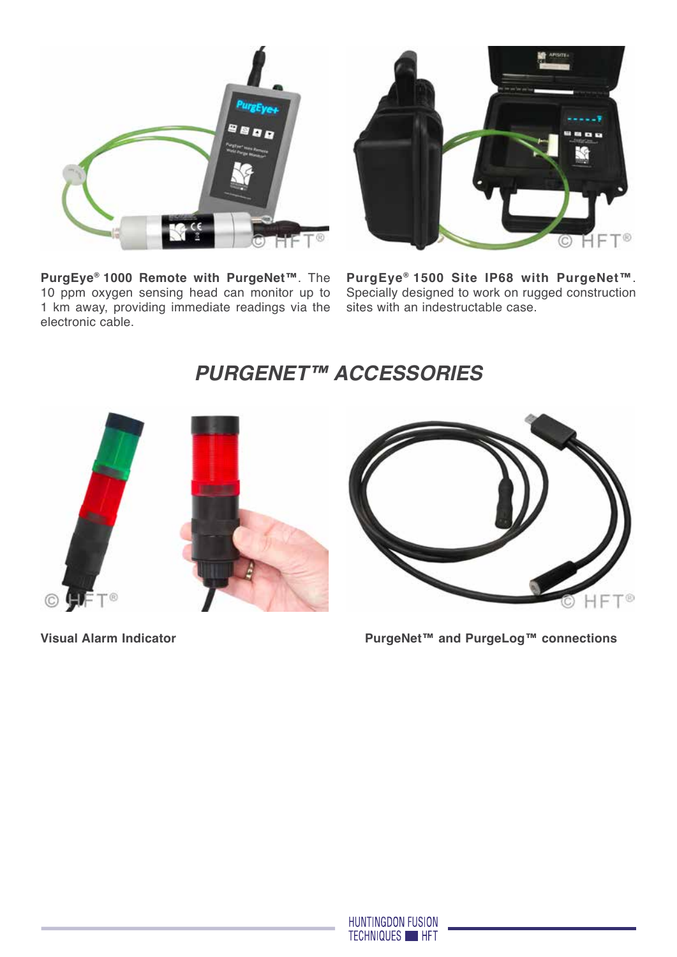![](_page_5_Picture_0.jpeg)

**PurgEye® 1000 Remote with PurgeNet™**. The 10 ppm oxygen sensing head can monitor up to 1 km away, providing immediate readings via the electronic cable.

![](_page_5_Picture_2.jpeg)

**PurgEye® 1500 Site IP68 with PurgeNet™**. Specially designed to work on rugged construction sites with an indestructable case.

## *PurgeNet™ accessories*

![](_page_5_Picture_5.jpeg)

**Visual Alarm Indicator PurgeNet™ and PurgeLog™ connections**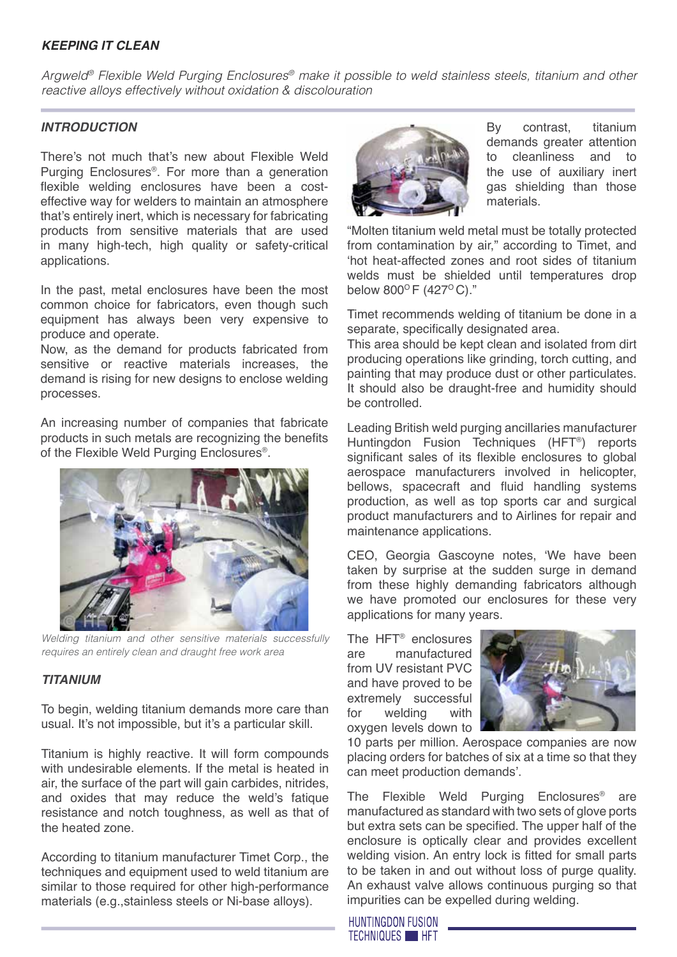## *Keeping it Clean*

*Argweld® Flexible Weld Purging Enclosures® make it possible to weld stainless steels, titanium and other reactive alloys effectively without oxidation & discolouration*

#### *Introduction*

There's not much that's new about Flexible Weld Purging Enclosures®. For more than a generation flexible welding enclosures have been a costeffective way for welders to maintain an atmosphere that's entirely inert, which is necessary for fabricating products from sensitive materials that are used in many high-tech, high quality or safety-critical applications.

In the past, metal enclosures have been the most common choice for fabricators, even though such equipment has always been very expensive to produce and operate.

Now, as the demand for products fabricated from sensitive or reactive materials increases, the demand is rising for new designs to enclose welding processes.

An increasing number of companies that fabricate products in such metals are recognizing the benefits of the Flexible Weld Purging Enclosures®.

![](_page_6_Picture_7.jpeg)

*Welding titanium and other sensitive materials successfully requires an entirely clean and draught free work area*

### *Titanium*

To begin, welding titanium demands more care than usual. It's not impossible, but it's a particular skill.

Titanium is highly reactive. It will form compounds with undesirable elements. If the metal is heated in air, the surface of the part will gain carbides, nitrides, and oxides that may reduce the weld's fatique resistance and notch toughness, as well as that of the heated zone.

According to titanium manufacturer Timet Corp., the techniques and equipment used to weld titanium are similar to those required for other high-performance materials (e.g.,stainless steels or Ni-base alloys).

![](_page_6_Picture_13.jpeg)

By contrast, titanium demands greater attention to cleanliness and to the use of auxiliary inert gas shielding than those materials.

"Molten titanium weld metal must be totally protected from contamination by air," according to Timet, and 'hot heat-affected zones and root sides of titanium welds must be shielded until temperatures drop below  $800^{\circ}$  F (427 $^{\circ}$  C)."

Timet recommends welding of titanium be done in a separate, specifically designated area.

This area should be kept clean and isolated from dirt producing operations like grinding, torch cutting, and painting that may produce dust or other particulates. It should also be draught-free and humidity should be controlled.

Leading British weld purging ancillaries manufacturer Huntingdon Fusion Techniques (HFT®) reports significant sales of its flexible enclosures to global aerospace manufacturers involved in helicopter, bellows, spacecraft and fluid handling systems production, as well as top sports car and surgical product manufacturers and to Airlines for repair and maintenance applications.

CEO, Georgia Gascoyne notes, 'We have been taken by surprise at the sudden surge in demand from these highly demanding fabricators although we have promoted our enclosures for these very applications for many years.

The HFT® enclosures are manufactured from UV resistant PVC and have proved to be extremely successful for welding with oxygen levels down to

![](_page_6_Picture_21.jpeg)

10 parts per million. Aerospace companies are now placing orders for batches of six at a time so that they can meet production demands'.

The Flexible Weld Purging Enclosures® are manufactured as standard with two sets of glove ports but extra sets can be specified. The upper half of the enclosure is optically clear and provides excellent welding vision. An entry lock is fitted for small parts to be taken in and out without loss of purge quality. An exhaust valve allows continuous purging so that impurities can be expelled during welding.

**HUNTINGDON FUSION TECHNIQUES HET**